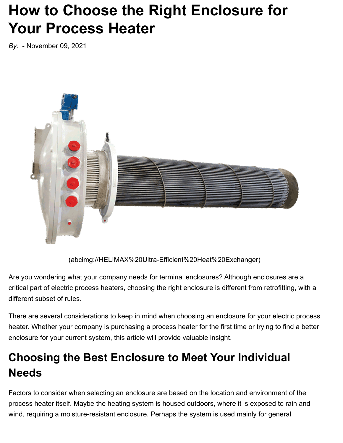# **How to Choose the Right Enclosure for Your Process Heater**

*By:* - November 09, 2021



(abcimg://HELIMAX%20Ultra-Efficient%20Heat%20Exchanger)

Are you wondering what your company needs for terminal enclosures? Although enclosures are a critical part of electric process heaters, choosing the right enclosure is different from retrofitting, with a different subset of rules.

There are several considerations to keep in mind when choosing an enclosure for your electric process heater. Whether your company is purchasing a process heater for the first time or trying to find a better enclosure for your current system, this article will provide valuable insight.

## **Choosing the Best Enclosure to Meet Your Individual Needs**

Factors to consider when selecting an enclosure are based on the location and environment of the process heater itself. Maybe the heating system is housed outdoors, where it is exposed to rain and wind, requiring a moisture-resistant enclosure. Perhaps the system is used mainly for general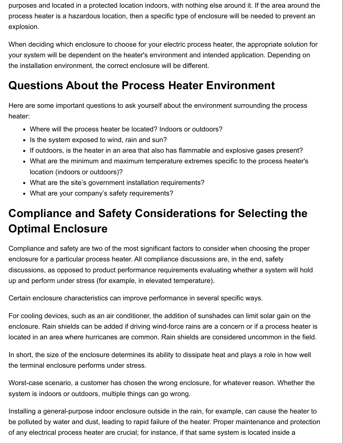purposes and located in a protected location indoors, with nothing else around it. If the area around the process heater is a hazardous location, then a specific type of enclosure will be needed to prevent an explosion.

When deciding which enclosure to choose for your electric process heater, the appropriate solution for your system will be dependent on the heater's environment and intended application. Depending on the installation environment, the correct enclosure will be different.

### **Questions About the Process Heater Environment**

Here are some important questions to ask yourself about the environment surrounding the process heater:

- Where will the process heater be located? Indoors or outdoors?
- Is the system exposed to wind, rain and sun?
- If outdoors, is the heater in an area that also has flammable and explosive gases present?
- What are the minimum and maximum temperature extremes specific to the process heater's location (indoors or outdoors)?
- What are the site's government installation requirements?
- What are your company's safety requirements?

## **Compliance and Safety Considerations for Selecting the Optimal Enclosure**

Compliance and safety are two of the most significant factors to consider when choosing the proper enclosure for a particular process heater. All compliance discussions are, in the end, safety discussions, as opposed to product performance requirements evaluating whether a system will hold up and perform under stress (for example, in elevated temperature).

Certain enclosure characteristics can improve performance in several specific ways.

For cooling devices, such as an air conditioner, the addition of sunshades can limit solar gain on the enclosure. Rain shields can be added if driving wind-force rains are a concern or if a process heater is located in an area where hurricanes are common. Rain shields are considered uncommon in the field.

In short, the size of the enclosure determines its ability to dissipate heat and plays a role in how well the terminal enclosure performs under stress.

Worst-case scenario, a customer has chosen the wrong enclosure, for whatever reason. Whether the system is indoors or outdoors, multiple things can go wrong.

Installing a general-purpose indoor enclosure outside in the rain, for example, can cause the heater to be polluted by water and dust, leading to rapid failure of the heater. Proper maintenance and protection of any electrical process heater are crucial; for instance, if that same system is located inside a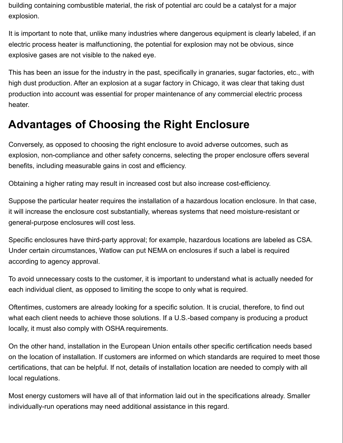building containing combustible material, the risk of potential arc could be a catalyst for a major explosion.

It is important to note that, unlike many industries where dangerous equipment is clearly labeled, if an electric process heater is malfunctioning, the potential for explosion may not be obvious, since explosive gases are not visible to the naked eye.

This has been an issue for the industry in the past, specifically in granaries, sugar factories, etc., with high dust production. After an explosion at a sugar factory in Chicago, it was clear that taking dust production into account was essential for proper maintenance of any commercial electric process heater.

#### **Advantages of Choosing the Right Enclosure**

Conversely, as opposed to choosing the right enclosure to avoid adverse outcomes, such as explosion, non-compliance and other safety concerns, selecting the proper enclosure offers several benefits, including measurable gains in cost and efficiency.

Obtaining a higher rating may result in increased cost but also increase cost-efficiency.

Suppose the particular heater requires the installation of a hazardous location enclosure. In that case, it will increase the enclosure cost substantially, whereas systems that need moisture-resistant or general-purpose enclosures will cost less.

Specific enclosures have third-party approval; for example, hazardous locations are labeled as CSA. Under certain circumstances, Watlow can put NEMA on enclosures if such a label is required according to agency approval.

To avoid unnecessary costs to the customer, it is important to understand what is actually needed for each individual client, as opposed to limiting the scope to only what is required.

Oftentimes, customers are already looking for a specific solution. It is crucial, therefore, to find out what each client needs to achieve those solutions. If a U.S.-based company is producing a product locally, it must also comply with OSHA requirements.

On the other hand, installation in the European Union entails other specific certification needs based on the location of installation. If customers are informed on which standards are required to meet those certifications, that can be helpful. If not, details of installation location are needed to comply with all local regulations.

Most energy customers will have all of that information laid out in the specifications already. Smaller individually-run operations may need additional assistance in this regard.